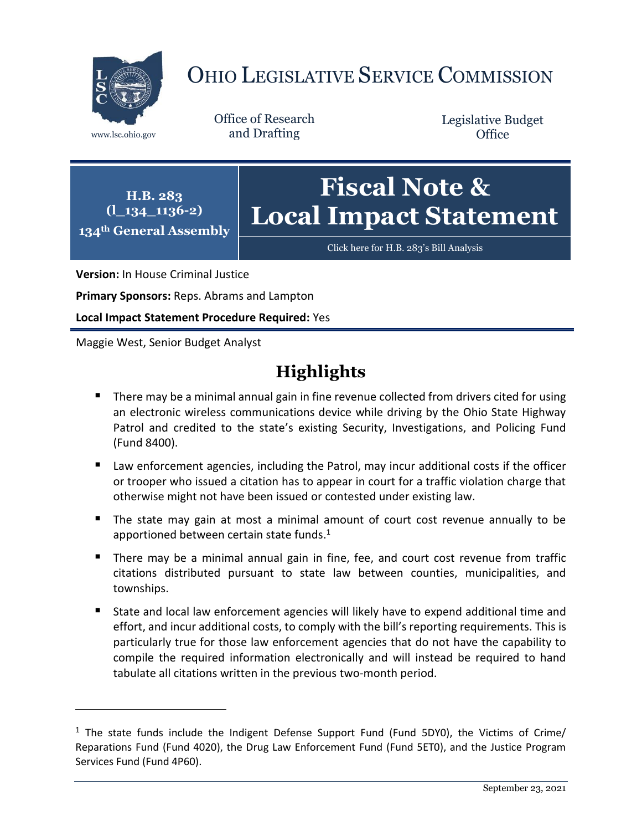

# OHIO LEGISLATIVE SERVICE COMMISSION

**H.B. 283**

Office of Research www.lsc.ohio.gov and Drafting

Legislative Budget **Office** 

**(l\_134\_1136-2) 134th General Assembly Fiscal Note & Local Impact Statement**

[Click here for H.B. 283](https://www.legislature.ohio.gov/legislation/legislation-documents?id=GA134-HB-283)'s Bill Analysis

**Version:** In House Criminal Justice

**Primary Sponsors:** Reps. Abrams and Lampton

**Local Impact Statement Procedure Required:** Yes

Maggie West, Senior Budget Analyst

 $\overline{a}$ 

# **Highlights**

- **There may be a minimal annual gain in fine revenue collected from drivers cited for using** an electronic wireless communications device while driving by the Ohio State Highway Patrol and credited to the state's existing Security, Investigations, and Policing Fund (Fund 8400).
- Law enforcement agencies, including the Patrol, may incur additional costs if the officer or trooper who issued a citation has to appear in court for a traffic violation charge that otherwise might not have been issued or contested under existing law.
- The state may gain at most a minimal amount of court cost revenue annually to be apportioned between certain state funds. 1
- **There may be a minimal annual gain in fine, fee, and court cost revenue from traffic** citations distributed pursuant to state law between counties, municipalities, and townships.
- State and local law enforcement agencies will likely have to expend additional time and effort, and incur additional costs, to comply with the bill's reporting requirements. This is particularly true for those law enforcement agencies that do not have the capability to compile the required information electronically and will instead be required to hand tabulate all citations written in the previous two-month period.

 $1$  The state funds include the Indigent Defense Support Fund (Fund 5DY0), the Victims of Crime/ Reparations Fund (Fund 4020), the Drug Law Enforcement Fund (Fund 5ET0), and the Justice Program Services Fund (Fund 4P60).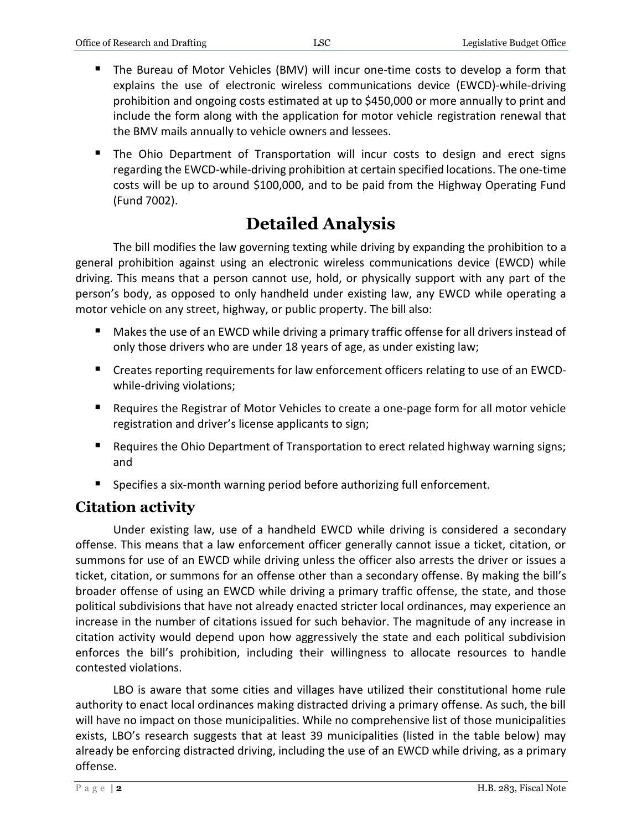- The Bureau of Motor Vehicles (BMV) will incur one-time costs to develop a form that explains the use of electronic wireless communications device (EWCD)-while-driving prohibition and ongoing costs estimated at up to \$450,000 or more annually to print and include the form along with the application for motor vehicle registration renewal that the BMV mails annually to vehicle owners and lessees.
- **The Ohio Department of Transportation will incur costs to design and erect signs** regarding the EWCD-while-driving prohibition at certain specified locations. The one-time costs will be up to around \$100,000, and to be paid from the Highway Operating Fund (Fund 7002).

# **Detailed Analysis**

The bill modifies the law governing texting while driving by expanding the prohibition to a general prohibition against using an electronic wireless communications device (EWCD) while driving. This means that a person cannot use, hold, or physically support with any part of the person's body, as opposed to only handheld under existing law, any EWCD while operating a motor vehicle on any street, highway, or public property. The bill also:

- Makes the use of an EWCD while driving a primary traffic offense for all drivers instead of only those drivers who are under 18 years of age, as under existing law;
- Creates reporting requirements for law enforcement officers relating to use of an EWCDwhile-driving violations;
- Requires the Registrar of Motor Vehicles to create a one-page form for all motor vehicle registration and driver's license applicants to sign;
- **Requires the Ohio Department of Transportation to erect related highway warning signs;** and
- **Specifies a six-month warning period before authorizing full enforcement.**

# **Citation activity**

Under existing law, use of a handheld EWCD while driving is considered a secondary offense. This means that a law enforcement officer generally cannot issue a ticket, citation, or summons for use of an EWCD while driving unless the officer also arrests the driver or issues a ticket, citation, or summons for an offense other than a secondary offense. By making the bill's broader offense of using an EWCD while driving a primary traffic offense, the state, and those political subdivisions that have not already enacted stricter local ordinances, may experience an increase in the number of citations issued for such behavior. The magnitude of any increase in citation activity would depend upon how aggressively the state and each political subdivision enforces the bill's prohibition, including their willingness to allocate resources to handle contested violations.

LBO is aware that some cities and villages have utilized their constitutional home rule authority to enact local ordinances making distracted driving a primary offense. As such, the bill will have no impact on those municipalities. While no comprehensive list of those municipalities exists, LBO's research suggests that at least 39 municipalities (listed in the table below) may already be enforcing distracted driving, including the use of an EWCD while driving, as a primary offense.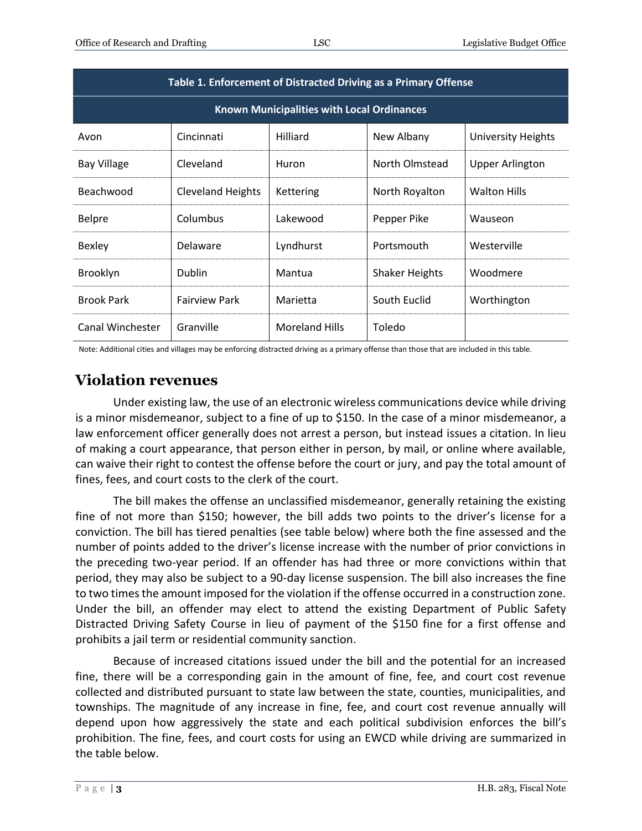| Table 1. Enforcement of Distracted Driving as a Primary Offense |                          |                       |                       |                           |
|-----------------------------------------------------------------|--------------------------|-----------------------|-----------------------|---------------------------|
| <b>Known Municipalities with Local Ordinances</b>               |                          |                       |                       |                           |
| Avon                                                            | Cincinnati               | Hilliard              | New Albany            | <b>University Heights</b> |
| <b>Bay Village</b>                                              | Cleveland                | Huron                 | North Olmstead        | <b>Upper Arlington</b>    |
| Beachwood                                                       | <b>Cleveland Heights</b> | Kettering             | North Royalton        | <b>Walton Hills</b>       |
| <b>Belpre</b>                                                   | Columbus                 | Lakewood              | Pepper Pike           | Wauseon                   |
| <b>Bexley</b>                                                   | Delaware                 | Lyndhurst             | Portsmouth            | Westerville               |
| Brooklyn                                                        | Dublin                   | Mantua                | <b>Shaker Heights</b> | Woodmere                  |
| <b>Brook Park</b>                                               | <b>Fairview Park</b>     | Marietta              | South Euclid          | Worthington               |
| Canal Winchester                                                | Granville                | <b>Moreland Hills</b> | Toledo                |                           |

Note: Additional cities and villages may be enforcing distracted driving as a primary offense than those that are included in this table.

# **Violation revenues**

Under existing law, the use of an electronic wireless communications device while driving is a minor misdemeanor, subject to a fine of up to \$150. In the case of a minor misdemeanor, a law enforcement officer generally does not arrest a person, but instead issues a citation. In lieu of making a court appearance, that person either in person, by mail, or online where available, can waive their right to contest the offense before the court or jury, and pay the total amount of fines, fees, and court costs to the clerk of the court.

The bill makes the offense an unclassified misdemeanor, generally retaining the existing fine of not more than \$150; however, the bill adds two points to the driver's license for a conviction. The bill has tiered penalties (see table below) where both the fine assessed and the number of points added to the driver's license increase with the number of prior convictions in the preceding two-year period. If an offender has had three or more convictions within that period, they may also be subject to a 90-day license suspension. The bill also increases the fine to two times the amount imposed for the violation if the offense occurred in a construction zone. Under the bill, an offender may elect to attend the existing Department of Public Safety Distracted Driving Safety Course in lieu of payment of the \$150 fine for a first offense and prohibits a jail term or residential community sanction.

Because of increased citations issued under the bill and the potential for an increased fine, there will be a corresponding gain in the amount of fine, fee, and court cost revenue collected and distributed pursuant to state law between the state, counties, municipalities, and townships. The magnitude of any increase in fine, fee, and court cost revenue annually will depend upon how aggressively the state and each political subdivision enforces the bill's prohibition. The fine, fees, and court costs for using an EWCD while driving are summarized in the table below.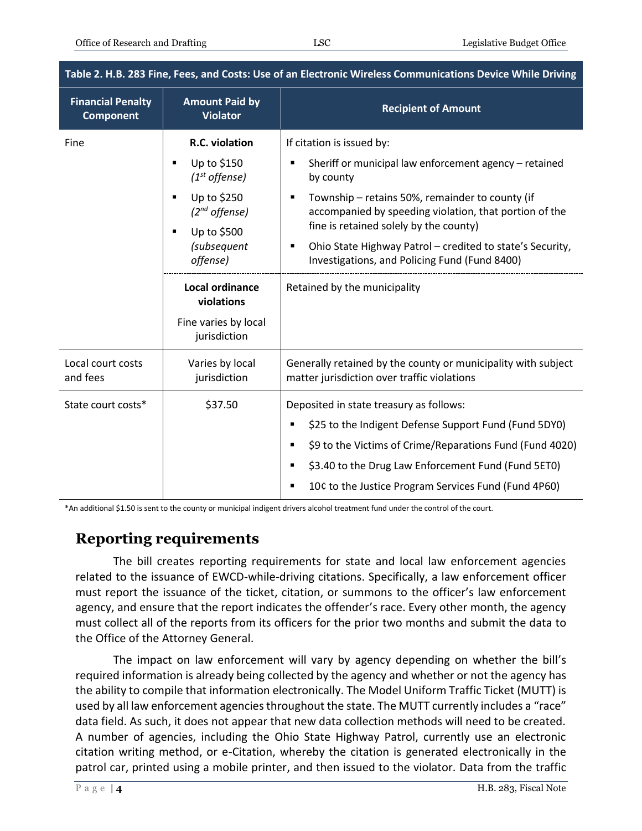| Table 2. H.B. 283 Fine, Fees, and Costs: Use of an Electronic Wireless Communications Device While Driving |                                                            |                                                                                                              |  |  |
|------------------------------------------------------------------------------------------------------------|------------------------------------------------------------|--------------------------------------------------------------------------------------------------------------|--|--|
| <b>Financial Penalty</b><br><b>Component</b>                                                               | <b>Amount Paid by</b><br><b>Violator</b>                   | <b>Recipient of Amount</b>                                                                                   |  |  |
| Fine                                                                                                       | R.C. violation                                             | If citation is issued by:<br>Sheriff or municipal law enforcement agency - retained<br>by county             |  |  |
|                                                                                                            | Up to \$150<br>$\blacksquare$<br>$(1st$ offense)           |                                                                                                              |  |  |
|                                                                                                            | Up to \$250<br>$\blacksquare$<br>(2 <sup>nd</sup> offense) | Township - retains 50%, remainder to county (if<br>accompanied by speeding violation, that portion of the    |  |  |
|                                                                                                            | Up to \$500<br>$\blacksquare$<br>(subsequent<br>offense)   | fine is retained solely by the county)                                                                       |  |  |
|                                                                                                            |                                                            | Ohio State Highway Patrol - credited to state's Security,<br>Investigations, and Policing Fund (Fund 8400)   |  |  |
|                                                                                                            | <b>Local ordinance</b><br>violations                       | Retained by the municipality                                                                                 |  |  |
|                                                                                                            | Fine varies by local<br>jurisdiction                       |                                                                                                              |  |  |
| Local court costs<br>and fees                                                                              | Varies by local<br>jurisdiction                            | Generally retained by the county or municipality with subject<br>matter jurisdiction over traffic violations |  |  |
| State court costs*                                                                                         | \$37.50                                                    | Deposited in state treasury as follows:                                                                      |  |  |
|                                                                                                            |                                                            | \$25 to the Indigent Defense Support Fund (Fund 5DY0)                                                        |  |  |
|                                                                                                            |                                                            | \$9 to the Victims of Crime/Reparations Fund (Fund 4020)                                                     |  |  |
|                                                                                                            |                                                            | \$3.40 to the Drug Law Enforcement Fund (Fund 5ET0)                                                          |  |  |
|                                                                                                            |                                                            | 10¢ to the Justice Program Services Fund (Fund 4P60)                                                         |  |  |
|                                                                                                            |                                                            |                                                                                                              |  |  |

\*An additional \$1.50 is sent to the county or municipal indigent drivers alcohol treatment fund under the control of the court.

### **Reporting requirements**

The bill creates reporting requirements for state and local law enforcement agencies related to the issuance of EWCD-while-driving citations. Specifically, a law enforcement officer must report the issuance of the ticket, citation, or summons to the officer's law enforcement agency, and ensure that the report indicates the offender's race. Every other month, the agency must collect all of the reports from its officers for the prior two months and submit the data to the Office of the Attorney General.

The impact on law enforcement will vary by agency depending on whether the bill's required information is already being collected by the agency and whether or not the agency has the ability to compile that information electronically. The Model Uniform Traffic Ticket (MUTT) is used by all law enforcement agencies throughout the state. The MUTT currently includes a "race" data field. As such, it does not appear that new data collection methods will need to be created. A number of agencies, including the Ohio State Highway Patrol, currently use an electronic citation writing method, or e-Citation, whereby the citation is generated electronically in the patrol car, printed using a mobile printer, and then issued to the violator. Data from the traffic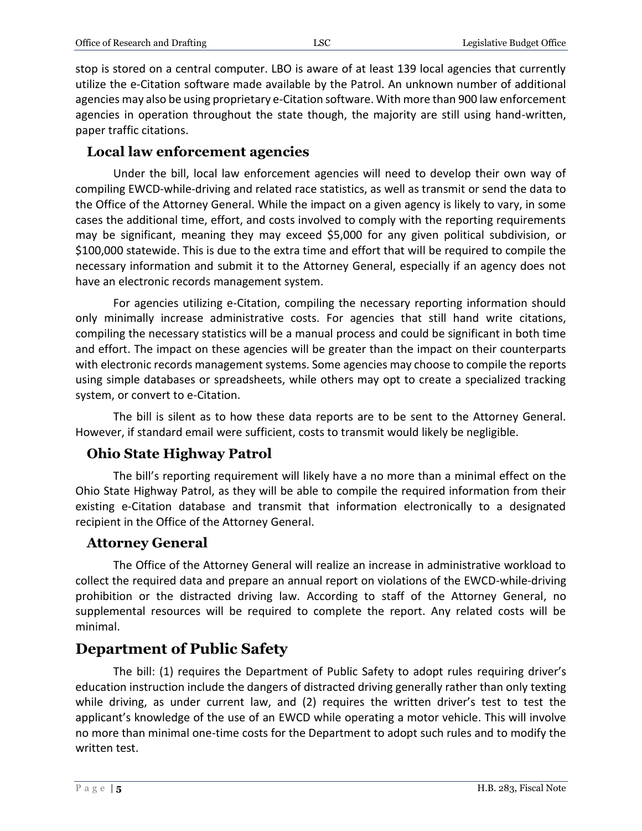stop is stored on a central computer. LBO is aware of at least 139 local agencies that currently utilize the e-Citation software made available by the Patrol. An unknown number of additional agencies may also be using proprietary e-Citation software. With more than 900 law enforcement agencies in operation throughout the state though, the majority are still using hand-written, paper traffic citations.

#### **Local law enforcement agencies**

Under the bill, local law enforcement agencies will need to develop their own way of compiling EWCD-while-driving and related race statistics, as well as transmit or send the data to the Office of the Attorney General. While the impact on a given agency is likely to vary, in some cases the additional time, effort, and costs involved to comply with the reporting requirements may be significant, meaning they may exceed \$5,000 for any given political subdivision, or \$100,000 statewide. This is due to the extra time and effort that will be required to compile the necessary information and submit it to the Attorney General, especially if an agency does not have an electronic records management system.

For agencies utilizing e-Citation, compiling the necessary reporting information should only minimally increase administrative costs. For agencies that still hand write citations, compiling the necessary statistics will be a manual process and could be significant in both time and effort. The impact on these agencies will be greater than the impact on their counterparts with electronic records management systems. Some agencies may choose to compile the reports using simple databases or spreadsheets, while others may opt to create a specialized tracking system, or convert to e-Citation.

The bill is silent as to how these data reports are to be sent to the Attorney General. However, if standard email were sufficient, costs to transmit would likely be negligible.

#### **Ohio State Highway Patrol**

The bill's reporting requirement will likely have a no more than a minimal effect on the Ohio State Highway Patrol, as they will be able to compile the required information from their existing e-Citation database and transmit that information electronically to a designated recipient in the Office of the Attorney General.

#### **Attorney General**

The Office of the Attorney General will realize an increase in administrative workload to collect the required data and prepare an annual report on violations of the EWCD-while-driving prohibition or the distracted driving law. According to staff of the Attorney General, no supplemental resources will be required to complete the report. Any related costs will be minimal.

#### **Department of Public Safety**

The bill: (1) requires the Department of Public Safety to adopt rules requiring driver's education instruction include the dangers of distracted driving generally rather than only texting while driving, as under current law, and (2) requires the written driver's test to test the applicant's knowledge of the use of an EWCD while operating a motor vehicle. This will involve no more than minimal one-time costs for the Department to adopt such rules and to modify the written test.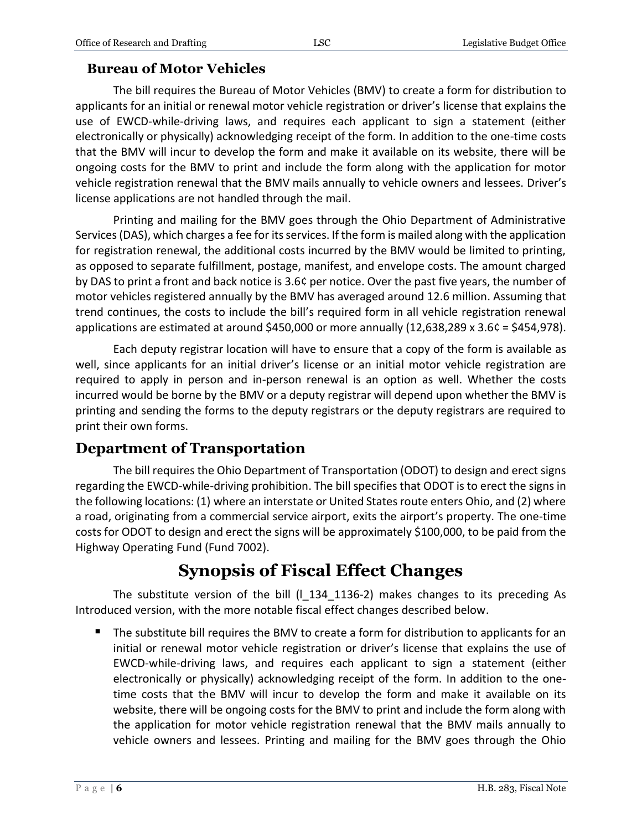### **Bureau of Motor Vehicles**

The bill requires the Bureau of Motor Vehicles (BMV) to create a form for distribution to applicants for an initial or renewal motor vehicle registration or driver's license that explains the use of EWCD-while-driving laws, and requires each applicant to sign a statement (either electronically or physically) acknowledging receipt of the form. In addition to the one-time costs that the BMV will incur to develop the form and make it available on its website, there will be ongoing costs for the BMV to print and include the form along with the application for motor vehicle registration renewal that the BMV mails annually to vehicle owners and lessees. Driver's license applications are not handled through the mail.

Printing and mailing for the BMV goes through the Ohio Department of Administrative Services (DAS), which charges a fee for its services. If the form is mailed along with the application for registration renewal, the additional costs incurred by the BMV would be limited to printing, as opposed to separate fulfillment, postage, manifest, and envelope costs. The amount charged by DAS to print a front and back notice is 3.6¢ per notice. Over the past five years, the number of motor vehicles registered annually by the BMV has averaged around 12.6 million. Assuming that trend continues, the costs to include the bill's required form in all vehicle registration renewal applications are estimated at around \$450,000 or more annually (12,638,289 x 3.6¢ = \$454,978).

Each deputy registrar location will have to ensure that a copy of the form is available as well, since applicants for an initial driver's license or an initial motor vehicle registration are required to apply in person and in-person renewal is an option as well. Whether the costs incurred would be borne by the BMV or a deputy registrar will depend upon whether the BMV is printing and sending the forms to the deputy registrars or the deputy registrars are required to print their own forms.

### **Department of Transportation**

The bill requires the Ohio Department of Transportation (ODOT) to design and erect signs regarding the EWCD-while-driving prohibition. The bill specifies that ODOT is to erect the signs in the following locations: (1) where an interstate or United States route enters Ohio, and (2) where a road, originating from a commercial service airport, exits the airport's property. The one-time costs for ODOT to design and erect the signs will be approximately \$100,000, to be paid from the Highway Operating Fund (Fund 7002).

# **Synopsis of Fiscal Effect Changes**

The substitute version of the bill  $(1\ 134\ 1136-2)$  makes changes to its preceding As Introduced version, with the more notable fiscal effect changes described below.

The substitute bill requires the BMV to create a form for distribution to applicants for an initial or renewal motor vehicle registration or driver's license that explains the use of EWCD-while-driving laws, and requires each applicant to sign a statement (either electronically or physically) acknowledging receipt of the form. In addition to the onetime costs that the BMV will incur to develop the form and make it available on its website, there will be ongoing costs for the BMV to print and include the form along with the application for motor vehicle registration renewal that the BMV mails annually to vehicle owners and lessees. Printing and mailing for the BMV goes through the Ohio